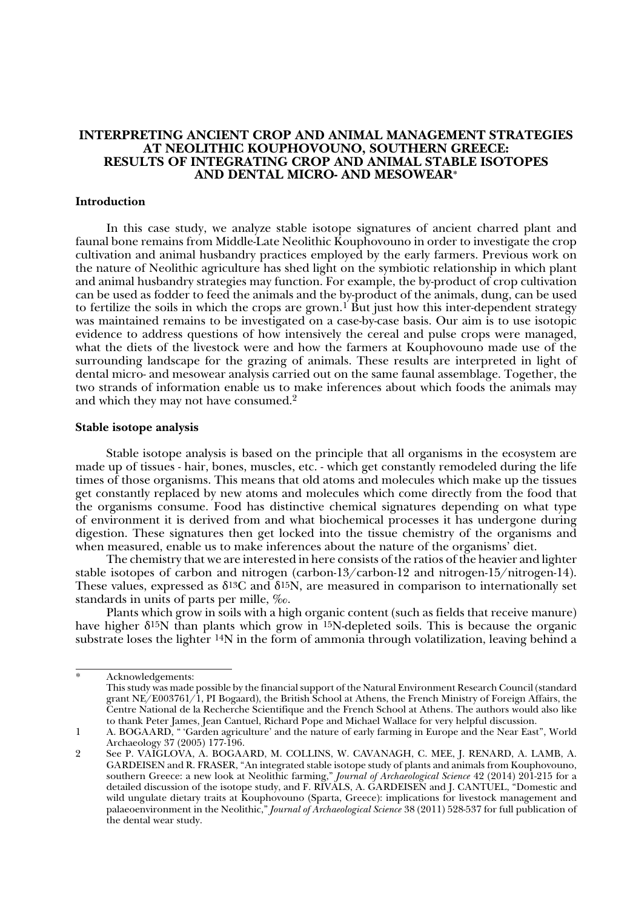## **INTERPRETING ANCIENT CROP AND ANIMAL MANAGEMENT STRATEGIES AT NEOLITHIC KOUPHOVOUNO, SOUTHERN GREECE: RESULTS OF INTEGRATING CROP AND ANIMAL STABLE ISOTOPES AND DENTAL MICRO- AND MESOWEAR\***

## **Introduction**

In this case study, we analyze stable isotope signatures of ancient charred plant and faunal bone remains from Middle-Late Neolithic Kouphovouno in order to investigate the crop cultivation and animal husbandry practices employed by the early farmers. Previous work on the nature of Neolithic agriculture has shed light on the symbiotic relationship in which plant and animal husbandry strategies may function. For example, the by-product of crop cultivation can be used as fodder to feed the animals and the by-product of the animals, dung, can be used to fertilize the soils in which the crops are grown.<sup>1</sup> But just how this inter-dependent strategy was maintained remains to be investigated on a case-by-case basis. Our aim is to use isotopic evidence to address questions of how intensively the cereal and pulse crops were managed, what the diets of the livestock were and how the farmers at Kouphovouno made use of the surrounding landscape for the grazing of animals. These results are interpreted in light of dental micro- and mesowear analysis carried out on the same faunal assemblage. Together, the two strands of information enable us to make inferences about which foods the animals may and which they may not have consumed.2

### **Stable isotope analysis**

Stable isotope analysis is based on the principle that all organisms in the ecosystem are made up of tissues - hair, bones, muscles, etc. - which get constantly remodeled during the life times of those organisms. This means that old atoms and molecules which make up the tissues get constantly replaced by new atoms and molecules which come directly from the food that the organisms consume. Food has distinctive chemical signatures depending on what type of environment it is derived from and what biochemical processes it has undergone during digestion. These signatures then get locked into the tissue chemistry of the organisms and when measured, enable us to make inferences about the nature of the organisms' diet.

The chemistry that we are interested in here consists of the ratios of the heavier and lighter stable isotopes of carbon and nitrogen (carbon-13/carbon-12 and nitrogen-15/nitrogen-14). These values, expressed as  $\delta^{13}C$  and  $\delta^{15}N$ , are measured in comparison to internationally set standards in units of parts per mille, ‰.

Plants which grow in soils with a high organic content (such as fields that receive manure) have higher  $\delta^{15}$ N than plants which grow in  $^{15}$ N-depleted soils. This is because the organic substrate loses the lighter 14N in the form of ammonia through volatilization, leaving behind a

<sup>\*</sup> Acknowledgements: This study was made possible by the financial support of the Natural Environment Research Council (standard grant NE/E003761/1, PI Bogaard), the British School at Athens, the French Ministry of Foreign Affairs, the Centre National de la Recherche Scientifique and the French School at Athens. The authors would also like to thank Peter James, Jean Cantuel, Richard Pope and Michael Wallace for very helpful discussion.

<sup>1</sup> A. BOGAARD, " 'Garden agriculture' and the nature of early farming in Europe and the Near East", World Archaeology 37 (2005) 177-196.

<sup>2</sup> See P. VAIGLOVA, A. BOGAARD, M. COLLINS, W. CAVANAGH, C. MEE, J. RENARD, A. LAMB, A. GARDEISEN and R. FRASER, "An integrated stable isotope study of plants and animals from Kouphovouno, southern Greece: a new look at Neolithic farming," *Journal of Archaeological Science* 42 (2014) 201-215 for a detailed discussion of the isotope study, and F. RIVALS, A. GARDEISEN and J. CANTUEL, "Domestic and wild ungulate dietary traits at Kouphovouno (Sparta, Greece): implications for livestock management and palaeoenvironment in the Neolithic," *Journal of Archaeological Science* 38 (2011) 528-537 for full publication of the dental wear study.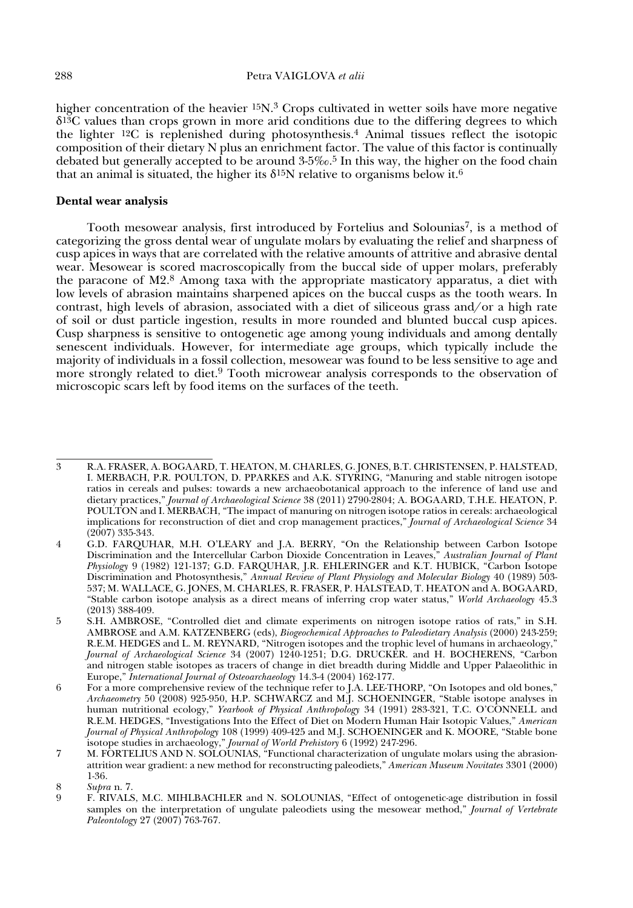## 288 Petra VAIGLOVA *et alii*

higher concentration of the heavier <sup>15</sup>N.<sup>3</sup> Crops cultivated in wetter soils have more negative  $\delta^{13}$ C values than crops grown in more arid conditions due to the differing degrees to which the lighter 12C is replenished during photosynthesis.4 Animal tissues reflect the isotopic composition of their dietary N plus an enrichment factor. The value of this factor is continually debated but generally accepted to be around 3-5‰.5 In this way, the higher on the food chain that an animal is situated, the higher its  $\delta^{15}$ N relative to organisms below it.<sup>6</sup>

## **Dental wear analysis**

Tooth mesowear analysis, first introduced by Fortelius and Solounias7, is a method of categorizing the gross dental wear of ungulate molars by evaluating the relief and sharpness of cusp apices in ways that are correlated with the relative amounts of attritive and abrasive dental wear. Mesowear is scored macroscopically from the buccal side of upper molars, preferably the paracone of M2.8 Among taxa with the appropriate masticatory apparatus, a diet with low levels of abrasion maintains sharpened apices on the buccal cusps as the tooth wears. In contrast, high levels of abrasion, associated with a diet of siliceous grass and/or a high rate of soil or dust particle ingestion, results in more rounded and blunted buccal cusp apices. Cusp sharpness is sensitive to ontogenetic age among young individuals and among dentally senescent individuals. However, for intermediate age groups, which typically include the majority of individuals in a fossil collection, mesowear was found to be less sensitive to age and more strongly related to diet.<sup>9</sup> Tooth microwear analysis corresponds to the observation of microscopic scars left by food items on the surfaces of the teeth.

<sup>3</sup> R.A. FRASER, A. BOGAARD, T. HEATON, M. CHARLES, G. JONES, B.T. CHRISTENSEN, P. HALSTEAD, I. MERBACH, P.R. POULTON, D. PPARKES and A.K. STYRING, "Manuring and stable nitrogen isotope ratios in cereals and pulses: towards a new archaeobotanical approach to the inference of land use and dietary practices," *Journal of Archaeological Science* 38 (2011) 2790-2804; A. BOGAARD, T.H.E. HEATON, P. POULTON and I. MERBACH, "The impact of manuring on nitrogen isotope ratios in cereals: archaeological implications for reconstruction of diet and crop management practices," *Journal of Archaeological Science* 34  $(2007)$  335-343.

<sup>4</sup> G.D. FARQUHAR, M.H. O'LEARY and J.A. BERRY, "On the Relationship between Carbon Isotope Discrimination and the Intercellular Carbon Dioxide Concentration in Leaves," *Australian Journal of Plant Physiology* 9 (1982) 121-137; G.D. FARQUHAR, J.R. EHLERINGER and K.T. HUBICK, "Carbon Isotope Discrimination and Photosynthesis," *Annual Review of Plant Physiology and Molecular Biology* 40 (1989) 503- 537; M. WALLACE, G. JONES, M. CHARLES, R. FRASER, P. HALSTEAD, T. HEATON and A. BOGAARD, "Stable carbon isotope analysis as a direct means of inferring crop water status," *World Archaeology* 45.3 (2013) 388-409.

<sup>5</sup> S.H. AMBROSE, "Controlled diet and climate experiments on nitrogen isotope ratios of rats," in S.H. AMBROSE and A.M. KATZENBERG (eds), *Biogeochemical Approaches to Paleodietary Analysis* (2000) 243-259; R.E.M. HEDGES and L. M. REYNARD, "Nitrogen isotopes and the trophic level of humans in archaeology," *Journal of Archaeological Science* 34 (2007) 1240-1251; D.G. DRUCKER. and H. BOCHERENS, "Carbon and nitrogen stable isotopes as tracers of change in diet breadth during Middle and Upper Palaeolithic in Europe," *International Journal of Osteoarchaeology* 14.3-4 (2004) 162-177.

<sup>6</sup> For a more comprehensive review of the technique refer to J.A. LEE-THORP, "On Isotopes and old bones," *Archaeometry* 50 (2008) 925-950, H.P. SCHWARCZ and M.J. SCHOENINGER, "Stable isotope analyses in human nutritional ecology," *Yearbook of Physical Anthropology* 34 (1991) 283-321, T.C. O'CONNELL and R.E.M. HEDGES, "Investigations Into the Effect of Diet on Modern Human Hair Isotopic Values," *American Journal of Physical Anthropology* 108 (1999) 409-425 and M.J. SCHOENINGER and K. MOORE, "Stable bone isotope studies in archaeology," *Journal of World Prehistory* 6 (1992) 247-296.

<sup>7</sup> M. FORTELIUS AND N. SOLOUNIAS, "Functional characterization of ungulate molars using the abrasionattrition wear gradient: a new method for reconstructing paleodiets," *American Museum Novitates* 3301 (2000) 1-36.

<sup>8</sup> *Supra* n. 7.

<sup>9</sup> F. RIVALS, M.C. MIHLBACHLER and N. SOLOUNIAS, "Effect of ontogenetic-age distribution in fossil samples on the interpretation of ungulate paleodiets using the mesowear method," *Journal of Vertebrate Paleontology* 27 (2007) 763-767.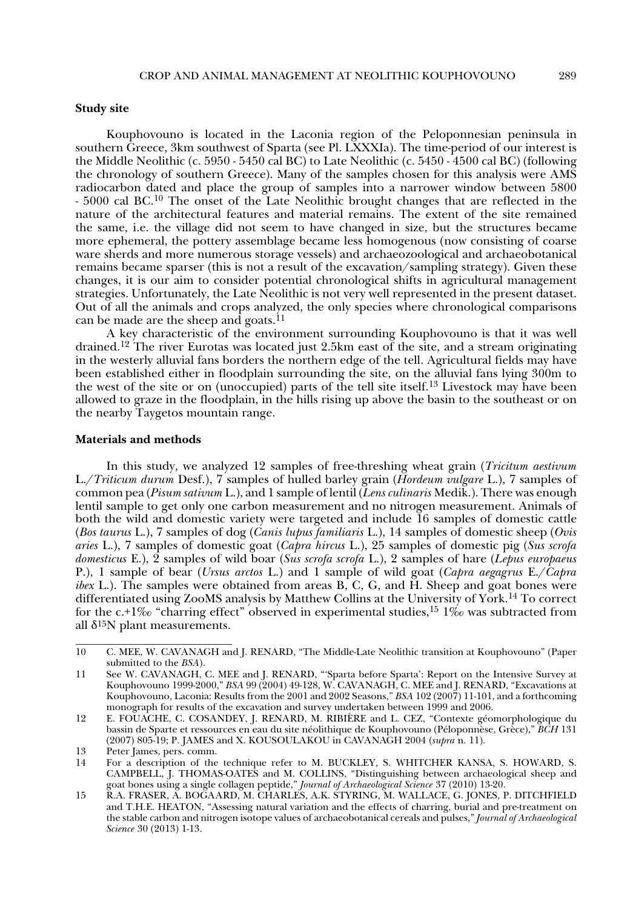### **Study site**

Kouphovouno is located in the Laconia region of the Peloponnesian peninsula in southern Greece, 3km southwest of Sparta (see Pl. LXXXIa). The time-period of our interest is the Middle Neolithic (c. 5950 - 5450 cal BC) to Late Neolithic (c. 5450 - 4500 cal BC) (following the chronology of southern Greece). Many of the samples chosen for this analysis were AMS radiocarbon dated and place the group of samples into a narrower window between 5800 - 5000 cal BC.10 The onset of the Late Neolithic brought changes that are reflected in the nature of the architectural features and material remains. The extent of the site remained the same, i.e. the village did not seem to have changed in size, but the structures became more ephemeral, the pottery assemblage became less homogenous (now consisting of coarse ware sherds and more numerous storage vessels) and archaeozoological and archaeobotanical remains became sparser (this is not a result of the excavation/sampling strategy). Given these changes, it is our aim to consider potential chronological shifts in agricultural management strategies. Unfortunately, the Late Neolithic is not very well represented in the present dataset. Out of all the animals and crops analyzed, the only species where chronological comparisons can be made are the sheep and goats.<sup>11</sup>

A key characteristic of the environment surrounding Kouphovouno is that it was well drained.12 The river Eurotas was located just 2.5km east of the site, and a stream originating in the westerly alluvial fans borders the northern edge of the tell. Agricultural fields may have been established either in floodplain surrounding the site, on the alluvial fans lying 300m to the west of the site or on (unoccupied) parts of the tell site itself.13 Livestock may have been allowed to graze in the floodplain, in the hills rising up above the basin to the southeast or on the nearby Taygetos mountain range.

#### **Materials and methods**

In this study, we analyzed 12 samples of free-threshing wheat grain (*Tricitum aestivum* L./*Triticum durum* Desf.), 7 samples of hulled barley grain (*Hordeum vulgare* L.), 7 samples of common pea (*Pisum sativum* L.), and 1 sample of lentil (*Lens culinaris* Medik.). There was enough lentil sample to get only one carbon measurement and no nitrogen measurement. Animals of both the wild and domestic variety were targeted and include 16 samples of domestic cattle (*Bos taurus* L.), 7 samples of dog (*Canis lupus familiaris* L.), 14 samples of domestic sheep (*Ovis aries* L.), 7 samples of domestic goat (*Capra hircus* L.), 25 samples of domestic pig (*Sus scrofa domesticus* E.), 2 samples of wild boar (*Sus scrofa scrofa* L.), 2 samples of hare (*Lepus europaeus* P.), 1 sample of bear (*Ursus arctos* L.) and 1 sample of wild goat (*Capra aegagrus* E./*Capra ibex* L.). The samples were obtained from areas B, C, G, and H. Sheep and goat bones were differentiated using ZooMS analysis by Matthew Collins at the University of York.14 To correct for the c.+1‰ "charring effect" observed in experimental studies,<sup>15</sup> 1‰ was subtracted from all  $δ<sup>15</sup>N$  plant measurements.

<sup>10</sup> C. MEE, W. CAVANAGH and J. RENARD, "The Middle-Late Neolithic transition at Kouphovouno" (Paper submitted to the *BSA*).

<sup>11</sup> See W. CAVANAGH, C. MEE and J. RENARD, "'Sparta before Sparta': Report on the Intensive Survey at Kouphovouno 1999-2000," *BSA* 99 (2004) 49-128, W. CAVANAGH, C. MEE and J. RENARD, "Excavations at Kouphovouno, Laconia: Results from the 2001 and 2002 Seasons," *BSA* 102 (2007) 11-101, and a forthcoming monograph for results of the excavation and survey undertaken between 1999 and 2006.

<sup>12</sup> E. FOUACHE, C. COSANDEY, J. RENARD, M. RIBIÈRE and L. CEZ, "Contexte géomorphologique du bassin de Sparte et ressources en eau du site néolithique de Kouphovouno (Péloponnèse, Grèce)," *BCH* 131 (2007) 805-19; P. JAMES and X. KOUSOULAKOU in CAVANAGH 2004 (*supra* n. 11).

<sup>13</sup> Peter James, pers. comm.<br>14 For a description of the

<sup>14</sup> For a description of the technique refer to M. BUCKLEY, S. WHITCHER KANSA, S. HOWARD, S. CAMPBELL, J. THOMAS-OATES and M. COLLINS, "Distinguishing between archaeological sheep and goat bones using a single collagen peptide," *Journal of Archaeological Science* 37 (2010) 13-20.

<sup>15</sup> R.A. FRASER, A. BOGAARD, M. CHARLES, A.K. STYRING, M. WALLACE, G. JONES, P. DITCHFIELD and T.H.E. HEATON, "Assessing natural variation and the effects of charring, burial and pre-treatment on the stable carbon and nitrogen isotope values of archaeobotanical cereals and pulses," *Journal of Archaeological Science* 30 (2013) 1-13.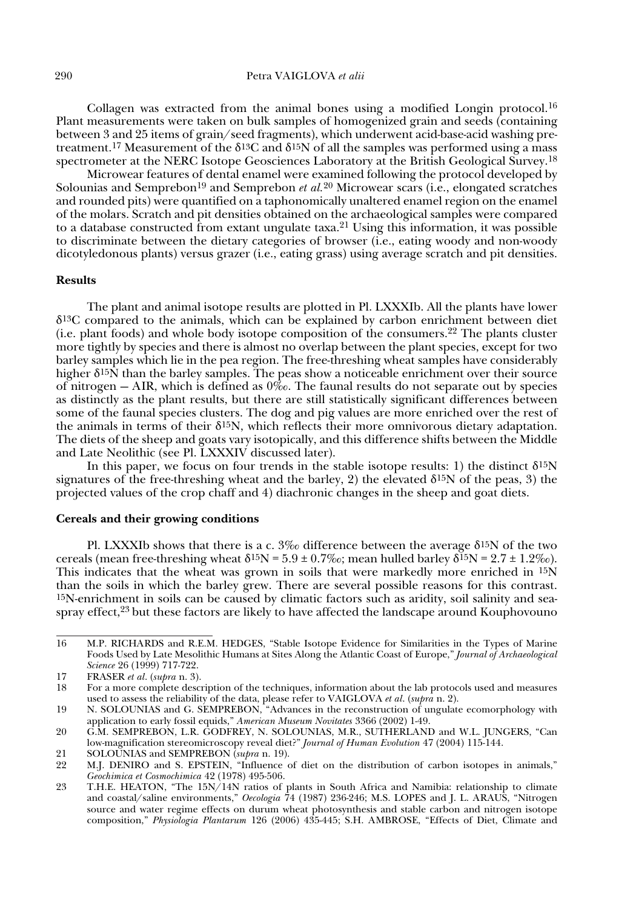290 Petra VAIGLOVA *et alii*

Collagen was extracted from the animal bones using a modified Longin protocol.16 Plant measurements were taken on bulk samples of homogenized grain and seeds (containing between 3 and 25 items of grain/seed fragments), which underwent acid-base-acid washing pretreatment.<sup>17</sup> Measurement of the  $\delta^{13}C$  and  $\delta^{15}N$  of all the samples was performed using a mass spectrometer at the NERC Isotope Geosciences Laboratory at the British Geological Survey.18

Microwear features of dental enamel were examined following the protocol developed by Solounias and Semprebon<sup>19</sup> and Semprebon *et al.*<sup>20</sup> Microwear scars (i.e., elongated scratches and rounded pits) were quantified on a taphonomically unaltered enamel region on the enamel of the molars. Scratch and pit densities obtained on the archaeological samples were compared to a database constructed from extant ungulate taxa.<sup>21</sup> Using this information, it was possible to discriminate between the dietary categories of browser (i.e., eating woody and non-woody dicotyledonous plants) versus grazer (i.e., eating grass) using average scratch and pit densities.

## **Results**

The plant and animal isotope results are plotted in Pl. LXXXIb. All the plants have lower  $\delta^{13}$ C compared to the animals, which can be explained by carbon enrichment between diet (i.e. plant foods) and whole body isotope composition of the consumers.22 The plants cluster more tightly by species and there is almost no overlap between the plant species, except for two barley samples which lie in the pea region. The free-threshing wheat samples have considerably higher δ15N than the barley samples. The peas show a noticeable enrichment over their source of nitrogen  $- AIR$ , which is defined as 0‰. The faunal results do not separate out by species as distinctly as the plant results, but there are still statistically significant differences between some of the faunal species clusters. The dog and pig values are more enriched over the rest of the animals in terms of their  $\delta^{15}N$ , which reflects their more omnivorous dietary adaptation. The diets of the sheep and goats vary isotopically, and this difference shifts between the Middle and Late Neolithic (see Pl. LXXXIV discussed later).

In this paper, we focus on four trends in the stable isotope results: 1) the distinct  $\delta^{15}N$ signatures of the free-threshing wheat and the barley, 2) the elevated  $\delta^{15}$ N of the peas, 3) the projected values of the crop chaff and 4) diachronic changes in the sheep and goat diets.

#### **Cereals and their growing conditions**

Pl. LXXXIb shows that there is a c.  $3\%$  difference between the average  $\delta^{15}N$  of the two cereals (mean free-threshing wheat  $\delta^{15}N = 5.9 \pm 0.7\%$ ); mean hulled barley  $\delta^{15}N = 2.7 \pm 1.2\%$ ). This indicates that the wheat was grown in soils that were markedly more enriched in 15N than the soils in which the barley grew. There are several possible reasons for this contrast. 15N-enrichment in soils can be caused by climatic factors such as aridity, soil salinity and seaspray effect, $23$  but these factors are likely to have affected the landscape around Kouphovouno

<sup>16</sup> M.P. RICHARDS and R.E.M. HEDGES, "Stable Isotope Evidence for Similarities in the Types of Marine Foods Used by Late Mesolithic Humans at Sites Along the Atlantic Coast of Europe," *Journal of Archaeological Science* 26 (1999) 717-722.

<sup>17</sup> FRASER *et al*. (*supra* n. 3).

<sup>18</sup> For a more complete description of the techniques, information about the lab protocols used and measures used to assess the reliability of the data, please refer to VAIGLOVA *et al*. (*supra* n. 2).

<sup>19</sup> N. SOLOUNIAS and G. SEMPREBON, "Advances in the reconstruction of ungulate ecomorphology with application to early fossil equids," *American Museum Novitates* 3366 (2002) 1-49.

<sup>20</sup> G.M. SEMPREBON, L.R. GODFREY, N. SOLOUNIAS, M.R., SUTHERLAND and W.L. JUNGERS, "Can low-magnification stereomicroscopy reveal diet?" *Journal of Human Evolution* 47 (2004) 115-144.

<sup>21</sup> SOLOUNIAS and SEMPREBON (*supra* n. 19).<br>22 M.J. DENIRO and S. EPSTEIN, "Influence of

<sup>22</sup> M.J. DENIRO and S. EPSTEIN, "Influence of diet on the distribution of carbon isotopes in animals," *Geochimica et Cosmochimica* 42 (1978) 495-506.

<sup>23</sup> T.H.E. HEATON, "The 15N/14N ratios of plants in South Africa and Namibia: relationship to climate and coastal/saline environments," *Oecologia* 74 (1987) 236-246; M.S. LOPES and J. L. ARAUS, "Nitrogen source and water regime effects on durum wheat photosynthesis and stable carbon and nitrogen isotope composition," *Physiologia Plantarum* 126 (2006) 435-445; S.H. AMBROSE, "Effects of Diet, Climate and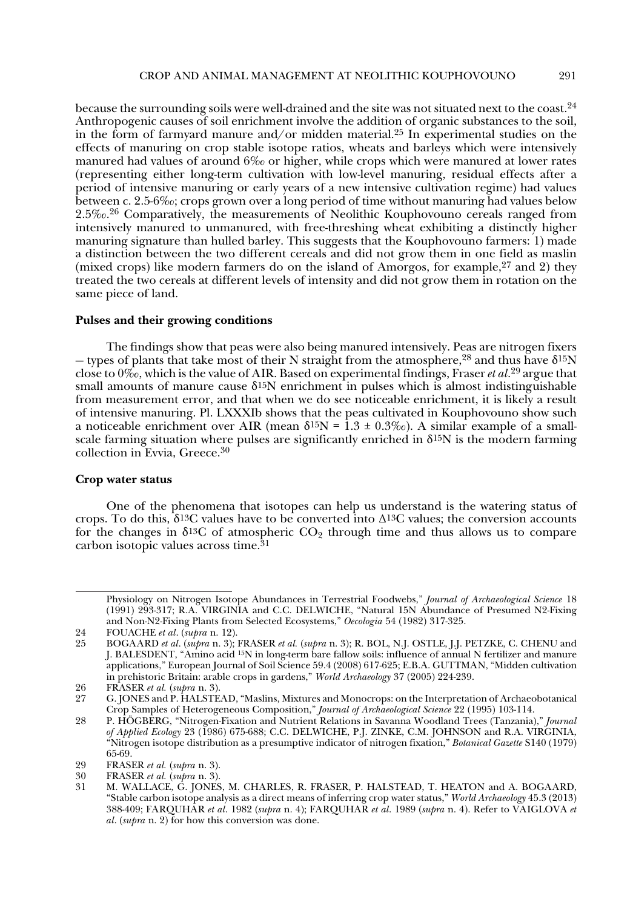because the surrounding soils were well-drained and the site was not situated next to the coast.<sup>24</sup> Anthropogenic causes of soil enrichment involve the addition of organic substances to the soil, in the form of farmyard manure and/or midden material.25 In experimental studies on the effects of manuring on crop stable isotope ratios, wheats and barleys which were intensively manured had values of around 6‰ or higher, while crops which were manured at lower rates (representing either long-term cultivation with low-level manuring, residual effects after a period of intensive manuring or early years of a new intensive cultivation regime) had values between c. 2.5-6‰; crops grown over a long period of time without manuring had values below 2.5‰.26 Comparatively, the measurements of Neolithic Kouphovouno cereals ranged from intensively manured to unmanured, with free-threshing wheat exhibiting a distinctly higher manuring signature than hulled barley. This suggests that the Kouphovouno farmers: 1) made a distinction between the two different cereals and did not grow them in one field as maslin (mixed crops) like modern farmers do on the island of Amorgos, for example,  $27$  and 2) they treated the two cereals at different levels of intensity and did not grow them in rotation on the same piece of land.

#### **Pulses and their growing conditions**

The findings show that peas were also being manured intensively. Peas are nitrogen fixers — types of plants that take most of their N straight from the atmosphere,<sup>28</sup> and thus have  $\delta^{15}N$ close to 0‰, which is the value of AIR. Based on experimental findings, Fraser *et al*. 29 argue that small amounts of manure cause  $\delta^{15}N$  enrichment in pulses which is almost indistinguishable from measurement error, and that when we do see noticeable enrichment, it is likely a result of intensive manuring. Pl. LXXXIb shows that the peas cultivated in Kouphovouno show such a noticeable enrichment over AIR (mean  $\delta^{15}N = 1.3 \pm 0.3\%$ ). A similar example of a smallscale farming situation where pulses are significantly enriched in  $\delta^{15}N$  is the modern farming collection in Evvia, Greece.30

#### **Crop water status**

One of the phenomena that isotopes can help us understand is the watering status of crops. To do this,  $\delta^{13}$ C values have to be converted into  $\Delta^{13}$ C values; the conversion accounts for the changes in  $\delta^{13}C$  of atmospheric  $CO_2$  through time and thus allows us to compare carbon isotopic values across time.31

Physiology on Nitrogen Isotope Abundances in Terrestrial Foodwebs," *Journal of Archaeological Science* 18 (1991) 293-317; R.A. VIRGINIA and C.C. DELWICHE, "Natural 15N Abundance of Presumed N2-Fixing and Non-N2-Fixing Plants from Selected Ecosystems," *Oecologia* 54 (1982) 317-325.

<sup>24</sup> FOUACHE *et al.* (*supra* n. 12).<br>25 BOGAARD *et al.* (*supra* n. 3):

<sup>25</sup> BOGAARD *et al*. (*supra* n. 3); FRASER *et al.* (*supra* n. 3); R. BOL, N.J. OSTLE, J.J. PETZKE, C. CHENU and J. BALESDENT, "Amino acid 15N in long-term bare fallow soils: influence of annual N fertilizer and manure applications," European Journal of Soil Science 59.4 (2008) 617-625; E.B.A. GUTTMAN, "Midden cultivation in prehistoric Britain: arable crops in gardens," *World Archaeology* 37 (2005) 224-239.

<sup>26</sup> FRASER *et al.* (*supra* n. 3).<br>27 G. JONES and P. HALSTE

<sup>27</sup> G. JONES and P. HALSTEAD, "Maslins, Mixtures and Monocrops: on the Interpretation of Archaeobotanical Crop Samples of Heterogeneous Composition," *Journal of Archaeological Science* 22 (1995) 103-114.

<sup>28</sup> P. HÖGBERG, "Nitrogen-Fixation and Nutrient Relations in Savanna Woodland Trees (Tanzania)," *Journal of Applied Ecology* 23 (1986) 675-688; C.C. DELWICHE, P.J. ZINKE, C.M. JOHNSON and R.A. VIRGINIA, "Nitrogen isotope distribution as a presumptive indicator of nitrogen fixation," *Botanical Gazette* S140 (1979) 65-69.

<sup>29</sup> FRASER *et al.* (*supra* n. 3).

<sup>30</sup> FRASER *et al.* (*supra* n. 3).

M. WALLACE, G. JONES, M. CHARLES, R. FRASER, P. HALSTEAD, T. HEATON and A. BOGAARD, "Stable carbon isotope analysis as a direct means of inferring crop water status," *World Archaeology* 45.3 (2013) 388-409; FARQUHAR *et al*. 1982 (*supra* n. 4); FARQUHAR *et al*. 1989 (*supra* n. 4). Refer to VAIGLOVA *et al*. (*supra* n. 2) for how this conversion was done.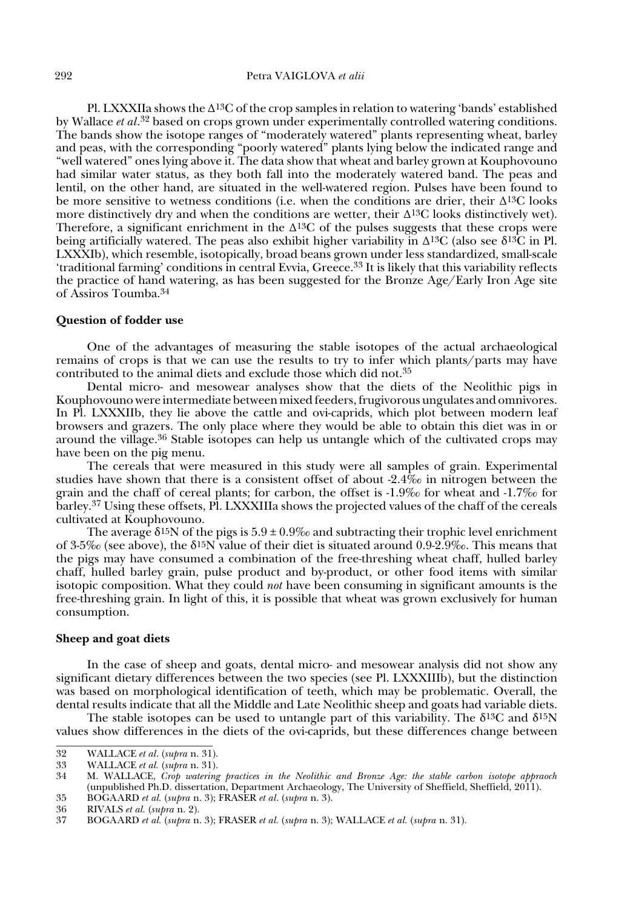Pl. LXXXIIa shows the  $\Delta^{13}C$  of the crop samples in relation to watering 'bands' established by Wallace *et al*. 32 based on crops grown under experimentally controlled watering conditions. The bands show the isotope ranges of "moderately watered" plants representing wheat, barley and peas, with the corresponding "poorly watered" plants lying below the indicated range and "well watered" ones lying above it. The data show that wheat and barley grown at Kouphovouno had similar water status, as they both fall into the moderately watered band. The peas and lentil, on the other hand, are situated in the well-watered region. Pulses have been found to be more sensitive to wetness conditions (i.e. when the conditions are drier, their  $\Delta^{13}C$  looks more distinctively dry and when the conditions are wetter, their  $\Delta^{13}C$  looks distinctively wet). Therefore, a significant enrichment in the  $\Delta^{13}$ C of the pulses suggests that these crops were being artificially watered. The peas also exhibit higher variability in  $\Delta^{13}C$  (also see  $\delta^{13}C$  in Pl. LXXXIb), which resemble, isotopically, broad beans grown under less standardized, small-scale 'traditional farming' conditions in central Evvia, Greece.33 It is likely that this variability reflects the practice of hand watering, as has been suggested for the Bronze Age/Early Iron Age site of Assiros Toumba.34

#### **Question of fodder use**

One of the advantages of measuring the stable isotopes of the actual archaeological remains of crops is that we can use the results to try to infer which plants/parts may have contributed to the animal diets and exclude those which did not.35

Dental micro- and mesowear analyses show that the diets of the Neolithic pigs in Kouphovouno were intermediate between mixed feeders, frugivorous ungulates and omnivores. In Pl. LXXXIIb, they lie above the cattle and ovi-caprids, which plot between modern leaf browsers and grazers. The only place where they would be able to obtain this diet was in or around the village.36 Stable isotopes can help us untangle which of the cultivated crops may have been on the pig menu.

The cereals that were measured in this study were all samples of grain. Experimental studies have shown that there is a consistent offset of about -2.4‰ in nitrogen between the grain and the chaff of cereal plants; for carbon, the offset is -1.9‰ for wheat and -1.7‰ for barley.37 Using these offsets, Pl. LXXXIIIa shows the projected values of the chaff of the cereals cultivated at Kouphovouno.

The average  $\delta^{15}$ N of the pigs is  $5.9 \pm 0.9\%$  and subtracting their trophic level enrichment of 3-5‰ (see above), the  $\delta^{15}N$  value of their diet is situated around 0.9-2.9‰. This means that the pigs may have consumed a combination of the free-threshing wheat chaff, hulled barley chaff, hulled barley grain, pulse product and by-product, or other food items with similar isotopic composition. What they could *not* have been consuming in significant amounts is the free-threshing grain. In light of this, it is possible that wheat was grown exclusively for human consumption.

#### **Sheep and goat diets**

In the case of sheep and goats, dental micro- and mesowear analysis did not show any significant dietary differences between the two species (see Pl. LXXXIIIb), but the distinction was based on morphological identification of teeth, which may be problematic. Overall, the dental results indicate that all the Middle and Late Neolithic sheep and goats had variable diets.

The stable isotopes can be used to untangle part of this variability. The  $\delta^{13}C$  and  $\delta^{15}N$ values show differences in the diets of the ovi-caprids, but these differences change between

<sup>32</sup> WALLACE *et al*. (*supra* n. 31).

<sup>33</sup> WALLACE *et al.* (*supra* n. 31).

<sup>34</sup> M. WALLACE, *Crop watering practices in the Neolithic and Bronze Age: the stable carbon isotope appraoch*  (unpublished Ph.D. dissertation, Department Archaeology, The University of Sheffield, Sheffield, 2011). 35 BOGAARD *et al.* (*supra* n. 3); FRASER *et al*. (*supra* n. 3).

<sup>36</sup> RIVALS *et al.* (*supra* n. 2).

<sup>37</sup> BOGAARD *et al.* (*supra* n. 3); FRASER *et al.* (*supra* n. 3); WALLACE *et al.* (*supra* n. 31).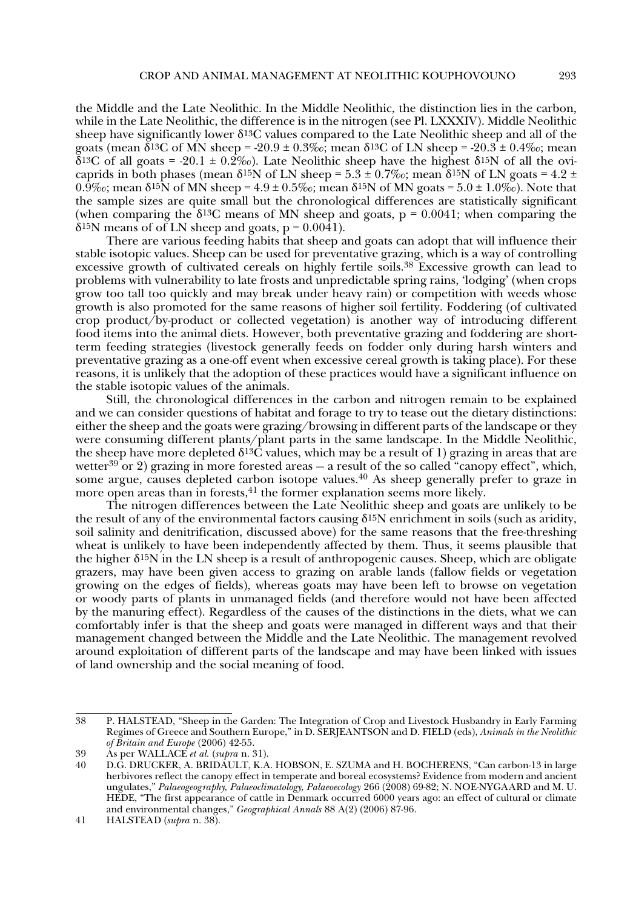the Middle and the Late Neolithic. In the Middle Neolithic, the distinction lies in the carbon, while in the Late Neolithic, the difference is in the nitrogen (see Pl. LXXXIV). Middle Neolithic sheep have significantly lower  $\delta^{13}$ C values compared to the Late Neolithic sheep and all of the goats (mean  $\delta^{13}C$  of MN sheep = -20.9 ± 0.3‰; mean  $\delta^{13}C$  of LN sheep = -20.3 ± 0.4‰; mean  $δ<sup>13</sup>C$  of all goats = -20.1 ± 0.2‰). Late Neolithic sheep have the highest  $δ<sup>15</sup>N$  of all the ovicaprids in both phases (mean  $\delta^{15}N$  of LN sheep = 5.3  $\pm$  0.7‰; mean  $\delta^{15}N$  of LN goats = 4.2  $\pm$ 0.9‰; mean  $\delta^{15}N$  of MN sheep = 4.9 ± 0.5‰; mean  $\delta^{15}N$  of MN goats = 5.0 ± 1.0‰). Note that the sample sizes are quite small but the chronological differences are statistically significant (when comparing the  $\delta^{13}$ C means of MN sheep and goats, p = 0.0041; when comparing the  $\delta^{15}$ N means of of LN sheep and goats, p = 0.0041).

There are various feeding habits that sheep and goats can adopt that will influence their stable isotopic values. Sheep can be used for preventative grazing, which is a way of controlling excessive growth of cultivated cereals on highly fertile soils.<sup>38</sup> Excessive growth can lead to problems with vulnerability to late frosts and unpredictable spring rains, 'lodging' (when crops grow too tall too quickly and may break under heavy rain) or competition with weeds whose growth is also promoted for the same reasons of higher soil fertility. Foddering (of cultivated crop product/by-product or collected vegetation) is another way of introducing different food items into the animal diets. However, both preventative grazing and foddering are shortterm feeding strategies (livestock generally feeds on fodder only during harsh winters and preventative grazing as a one-off event when excessive cereal growth is taking place). For these reasons, it is unlikely that the adoption of these practices would have a significant influence on the stable isotopic values of the animals.

Still, the chronological differences in the carbon and nitrogen remain to be explained and we can consider questions of habitat and forage to try to tease out the dietary distinctions: either the sheep and the goats were grazing/browsing in different parts of the landscape or they were consuming different plants/plant parts in the same landscape. In the Middle Neolithic, the sheep have more depleted  $\delta^{13}$ C values, which may be a result of 1) grazing in areas that are wetter<sup>39</sup> or 2) grazing in more forested areas  $-$  a result of the so called "canopy effect", which, some argue, causes depleted carbon isotope values.40 As sheep generally prefer to graze in more open areas than in forests, $41$  the former explanation seems more likely.

The nitrogen differences between the Late Neolithic sheep and goats are unlikely to be the result of any of the environmental factors causing  $\delta^{15}N$  enrichment in soils (such as aridity, soil salinity and denitrification, discussed above) for the same reasons that the free-threshing wheat is unlikely to have been independently affected by them. Thus, it seems plausible that the higher  $\delta^{15}$ N in the LN sheep is a result of anthropogenic causes. Sheep, which are obligate grazers, may have been given access to grazing on arable lands (fallow fields or vegetation growing on the edges of fields), whereas goats may have been left to browse on vegetation or woody parts of plants in unmanaged fields (and therefore would not have been affected by the manuring effect). Regardless of the causes of the distinctions in the diets, what we can comfortably infer is that the sheep and goats were managed in different ways and that their management changed between the Middle and the Late Neolithic. The management revolved around exploitation of different parts of the landscape and may have been linked with issues of land ownership and the social meaning of food.

<sup>38</sup> P. HALSTEAD, "Sheep in the Garden: The Integration of Crop and Livestock Husbandry in Early Farming Regimes of Greece and Southern Europe," in D. SERJEANTSON and D. FIELD (eds), *Animals in the Neolithic of Britain and Europe* (2006) 42-55.

<sup>39</sup> As per WALLACE *et al.* (*supra* n. 31).

D.G. DRUCKER, A. BRIDAULT, K.A. HOBSON, E. SZUMA and H. BOCHERENS, "Can carbon-13 in large herbivores reflect the canopy effect in temperate and boreal ecosystems? Evidence from modern and ancient ungulates," *Palaeogeography, Palaeoclimatology, Palaeoecology* 266 (2008) 69-82; N. NOE-NYGAARD and M. U. HEDE, "The first appearance of cattle in Denmark occurred 6000 years ago: an effect of cultural or climate and environmental changes," *Geographical Annals* 88 A(2) (2006) 87-96.

<sup>41</sup> HALSTEAD (*supra* n. 38).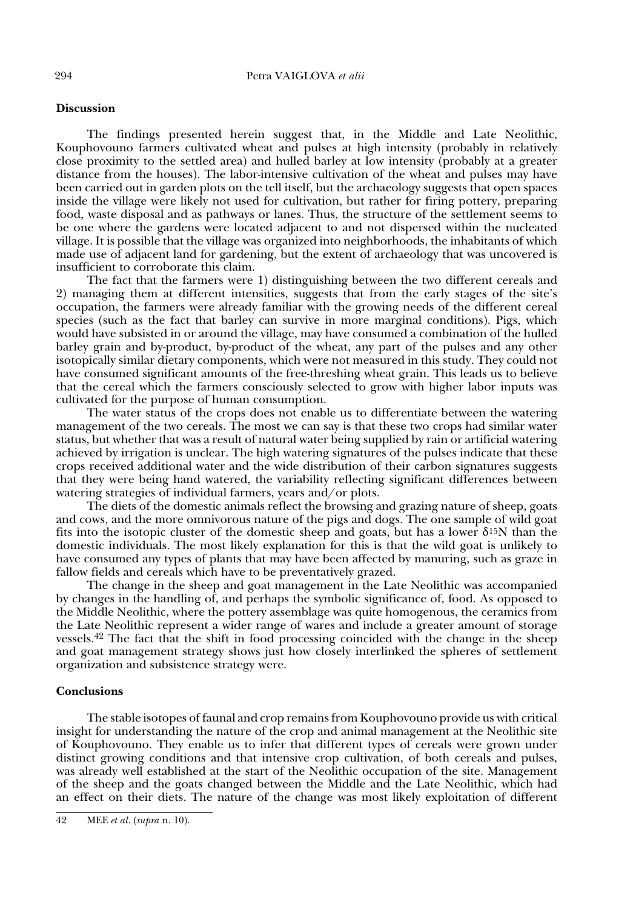### **Discussion**

The findings presented herein suggest that, in the Middle and Late Neolithic, Kouphovouno farmers cultivated wheat and pulses at high intensity (probably in relatively close proximity to the settled area) and hulled barley at low intensity (probably at a greater distance from the houses). The labor-intensive cultivation of the wheat and pulses may have been carried out in garden plots on the tell itself, but the archaeology suggests that open spaces inside the village were likely not used for cultivation, but rather for firing pottery, preparing food, waste disposal and as pathways or lanes. Thus, the structure of the settlement seems to be one where the gardens were located adjacent to and not dispersed within the nucleated village. It is possible that the village was organized into neighborhoods, the inhabitants of which made use of adjacent land for gardening, but the extent of archaeology that was uncovered is insufficient to corroborate this claim.

The fact that the farmers were 1) distinguishing between the two different cereals and 2) managing them at different intensities, suggests that from the early stages of the site's occupation, the farmers were already familiar with the growing needs of the different cereal species (such as the fact that barley can survive in more marginal conditions). Pigs, which would have subsisted in or around the village, may have consumed a combination of the hulled barley grain and by-product, by-product of the wheat, any part of the pulses and any other isotopically similar dietary components, which were not measured in this study. They could not have consumed significant amounts of the free-threshing wheat grain. This leads us to believe that the cereal which the farmers consciously selected to grow with higher labor inputs was cultivated for the purpose of human consumption.

The water status of the crops does not enable us to differentiate between the watering management of the two cereals. The most we can say is that these two crops had similar water status, but whether that was a result of natural water being supplied by rain or artificial watering achieved by irrigation is unclear. The high watering signatures of the pulses indicate that these crops received additional water and the wide distribution of their carbon signatures suggests that they were being hand watered, the variability reflecting significant differences between watering strategies of individual farmers, years and/or plots.

The diets of the domestic animals reflect the browsing and grazing nature of sheep, goats and cows, and the more omnivorous nature of the pigs and dogs. The one sample of wild goat fits into the isotopic cluster of the domestic sheep and goats, but has a lower  $\delta^{15}N$  than the domestic individuals. The most likely explanation for this is that the wild goat is unlikely to have consumed any types of plants that may have been affected by manuring, such as graze in fallow fields and cereals which have to be preventatively grazed.

The change in the sheep and goat management in the Late Neolithic was accompanied by changes in the handling of, and perhaps the symbolic significance of, food. As opposed to the Middle Neolithic, where the pottery assemblage was quite homogenous, the ceramics from the Late Neolithic represent a wider range of wares and include a greater amount of storage vessels.42 The fact that the shift in food processing coincided with the change in the sheep and goat management strategy shows just how closely interlinked the spheres of settlement organization and subsistence strategy were.

#### **Conclusions**

The stable isotopes of faunal and crop remains from Kouphovouno provide us with critical insight for understanding the nature of the crop and animal management at the Neolithic site of Kouphovouno. They enable us to infer that different types of cereals were grown under distinct growing conditions and that intensive crop cultivation, of both cereals and pulses, was already well established at the start of the Neolithic occupation of the site. Management of the sheep and the goats changed between the Middle and the Late Neolithic, which had an effect on their diets. The nature of the change was most likely exploitation of different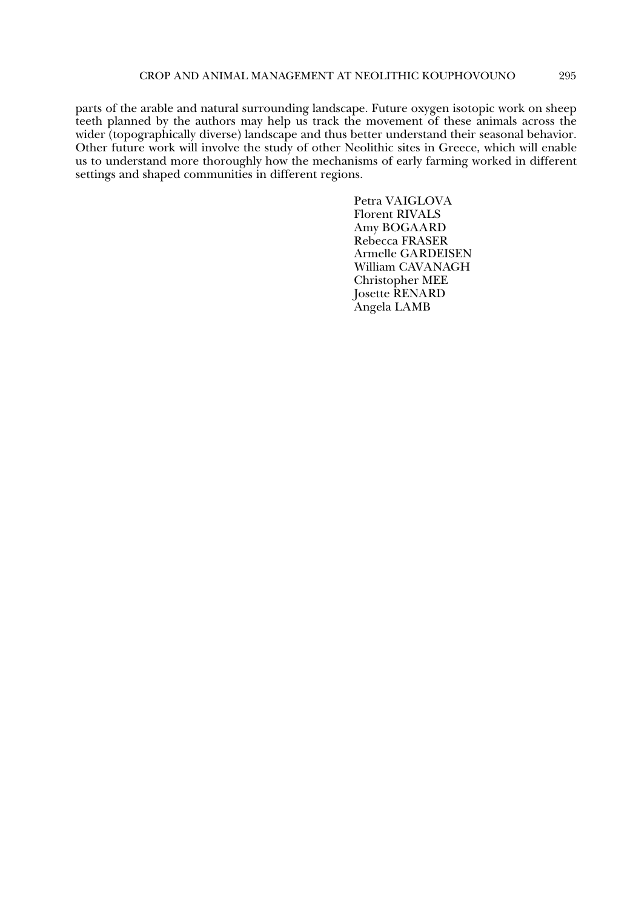parts of the arable and natural surrounding landscape. Future oxygen isotopic work on sheep teeth planned by the authors may help us track the movement of these animals across the wider (topographically diverse) landscape and thus better understand their seasonal behavior. Other future work will involve the study of other Neolithic sites in Greece, which will enable us to understand more thoroughly how the mechanisms of early farming worked in different settings and shaped communities in different regions.

> Petra VAIGLOVA Florent RIVALS Amy BOGAARD Rebecca FRASER Armelle GARDEISEN William CAVANAGH Christopher MEE Josette RENARD Angela LAMB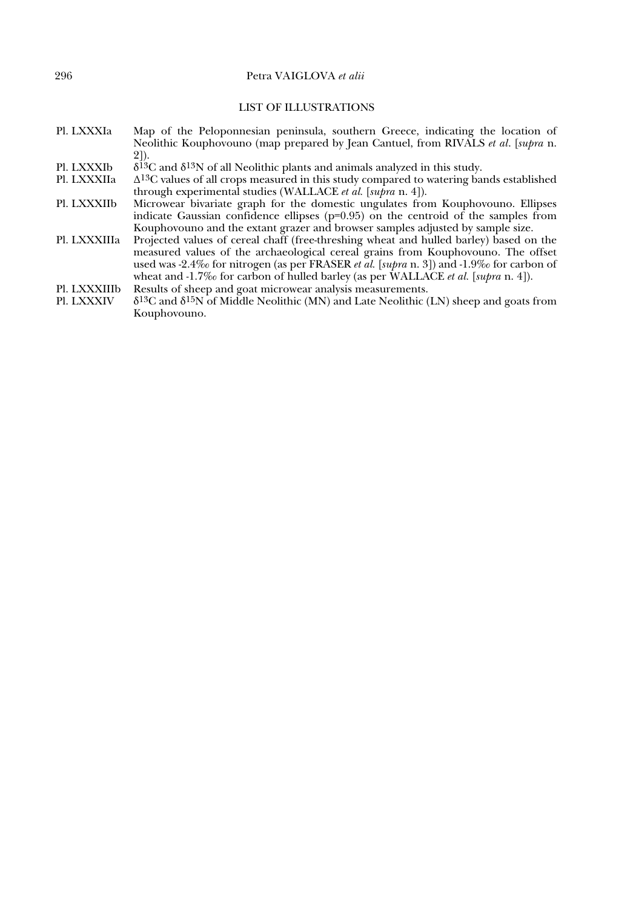## 296 Petra VAIGLOVA *et alii*

## LIST OF ILLUSTRATIONS

- Pl. LXXXIa Map of the Peloponnesian peninsula, southern Greece, indicating the location of Neolithic Kouphovouno (map prepared by Jean Cantuel, from RIVALS *et al*. [*supra* n. 2]).
- Pl. LXXXIb  $\delta^{13}C$  and  $\delta^{13}N$  of all Neolithic plants and animals analyzed in this study.<br>Pl. LXXXIIa Δ<sup>13</sup>C values of all crops measured in this study compared to watering ba
- $\Delta^{13}$ C values of all crops measured in this study compared to watering bands established through experimental studies (WALLACE *et al.* [*supra* n. 4]).
- Pl. LXXXIIb Microwear bivariate graph for the domestic ungulates from Kouphovouno. Ellipses indicate Gaussian confidence ellipses  $(p=0.95)$  on the centroid of the samples from Kouphovouno and the extant grazer and browser samples adjusted by sample size.
- Pl. LXXXIIIa Projected values of cereal chaff (free-threshing wheat and hulled barley) based on the measured values of the archaeological cereal grains from Kouphovouno. The offset used was -2.4‰ for nitrogen (as per FRASER *et al.* [*supra* n. 3]) and -1.9‰ for carbon of wheat and -1.7‰ for carbon of hulled barley (as per WALLACE *et al.* [*supra* n. 4]).
- Pl. LXXXIIIb Results of sheep and goat microwear analysis measurements.<br>Pl. LXXXIV  $\delta^{13}C$  and  $\delta^{15}N$  of Middle Neolithic (MN) and Late Neolithic (
- $\delta^{13}$ C and  $\delta^{15}$ N of Middle Neolithic (MN) and Late Neolithic (LN) sheep and goats from Kouphovouno.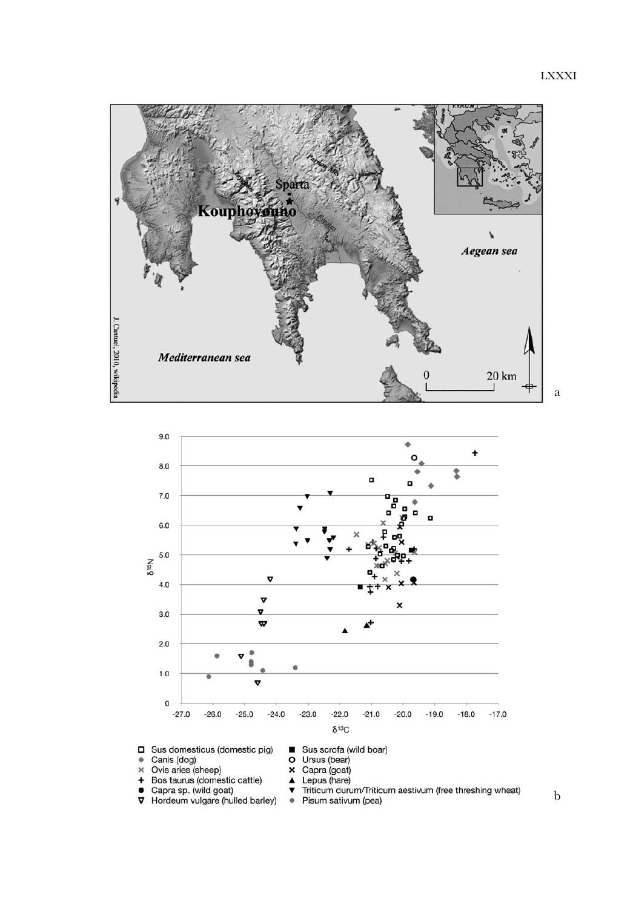



- 
- 
- → Sus domesticus (domestic pig)<br>
◆ Canis (dog)<br>
★ Ovis aries (sheep)<br>
+ Bos taurus (domestic cattle)<br>
 Capra sp. (wild goat)<br>
▼ Hordeum vulgare (hulled barley)
- 
- 
- Capra (goat)  $\blacktriangle$ Lepus (hare) ▼

 $\circ$  $\pmb{\times}$ 

- Triticum durum/Triticum aestivum (free threshing wheat) · Pisum sativum (pea)
- $\mathbf b$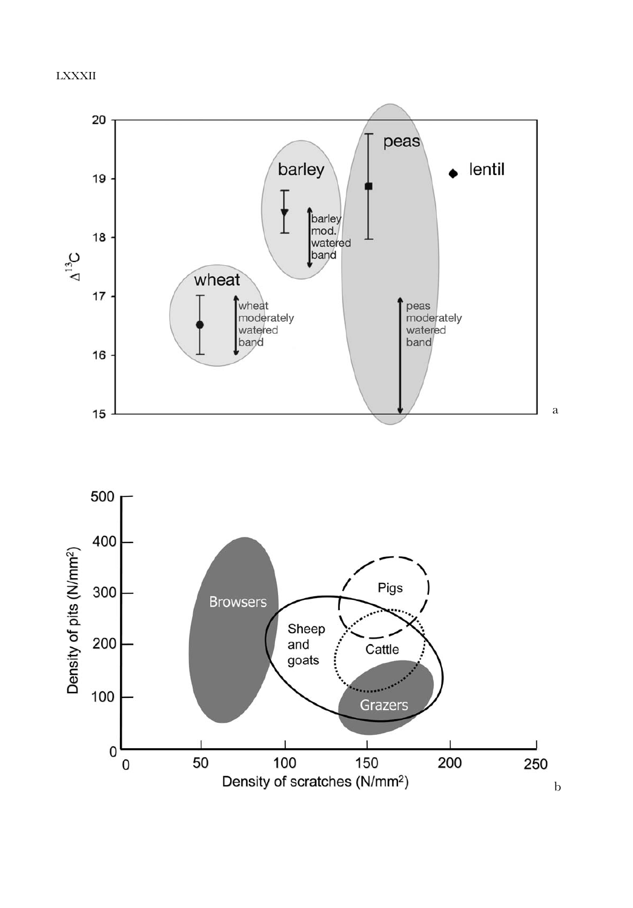**LXXXII** 

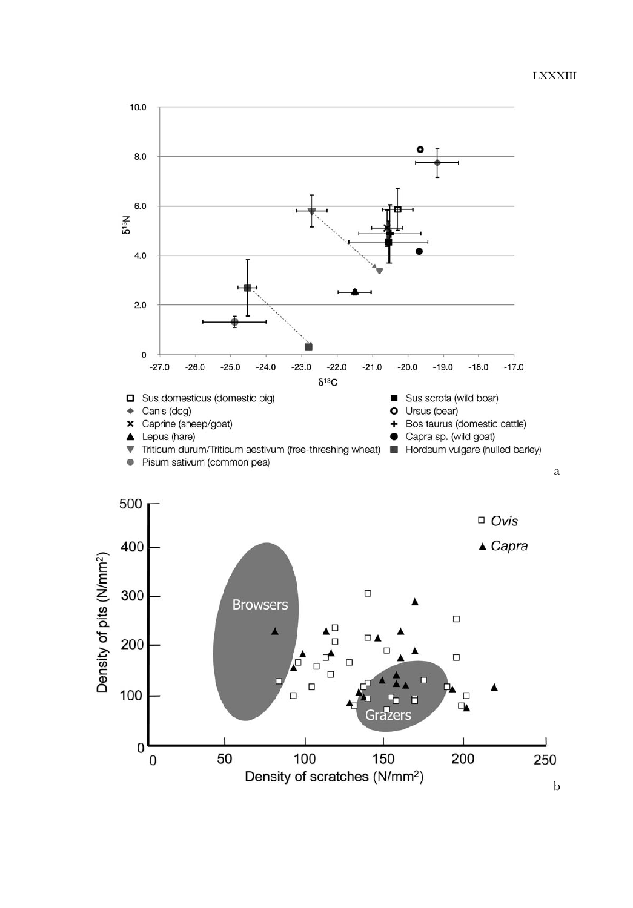